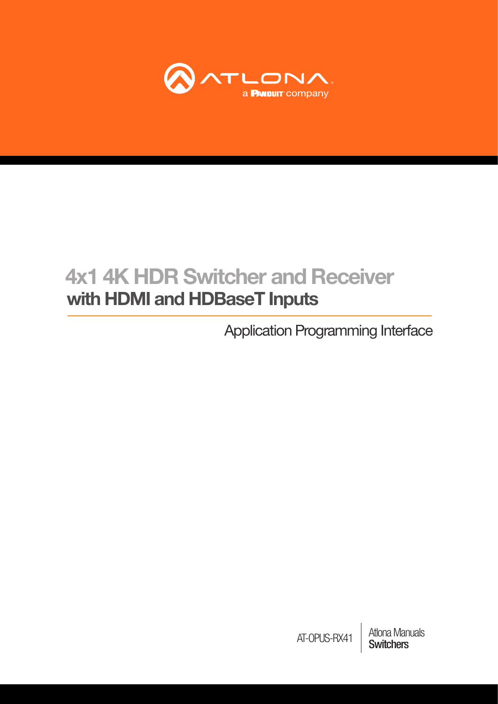

# 4x1 4K HDR Switcher and Receiver with HDMI and HDBaseT Inputs

Application Programming Interface

**Atlona Manuals<br>Switchers** AT-OPUS-RX41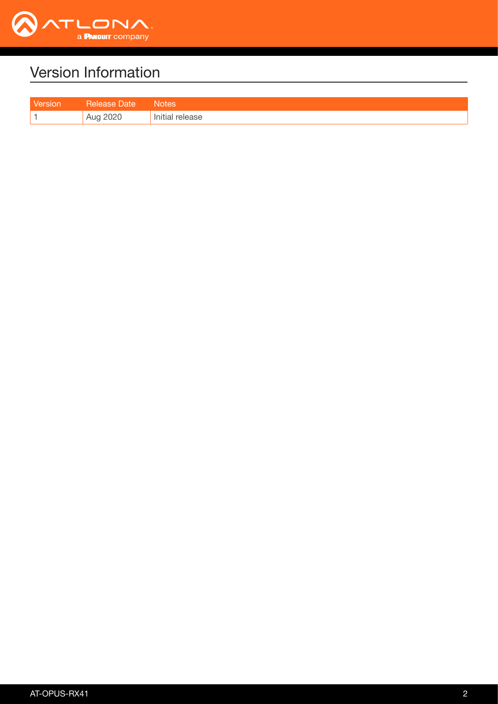

# Version Information

| <b>Tersion</b> | Jate              | Notes   |
|----------------|-------------------|---------|
|                | וכירוכי<br>ה הייש | release |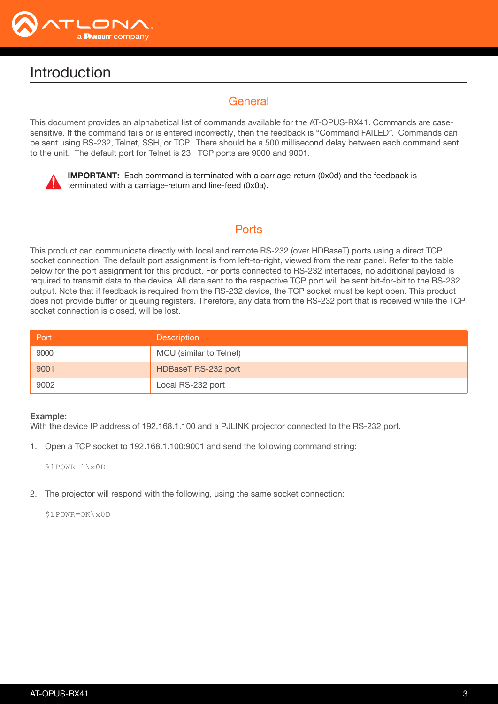

## Introduction

## **General**

This document provides an alphabetical list of commands available for the AT-OPUS-RX41. Commands are casesensitive. If the command fails or is entered incorrectly, then the feedback is "Command FAILED". Commands can be sent using RS-232, Telnet, SSH, or TCP. There should be a 500 millisecond delay between each command sent to the unit. The default port for Telnet is 23. TCP ports are 9000 and 9001.



IMPORTANT: Each command is terminated with a carriage-return (0x0d) and the feedback is terminated with a carriage-return and line-feed (0x0a).

## **Ports**

This product can communicate directly with local and remote RS-232 (over HDBaseT) ports using a direct TCP socket connection. The default port assignment is from left-to-right, viewed from the rear panel. Refer to the table below for the port assignment for this product. For ports connected to RS-232 interfaces, no additional payload is required to transmit data to the device. All data sent to the respective TCP port will be sent bit-for-bit to the RS-232 output. Note that if feedback is required from the RS-232 device, the TCP socket must be kept open. This product does not provide buffer or queuing registers. Therefore, any data from the RS-232 port that is received while the TCP socket connection is closed, will be lost.

| Port | <b>Description</b>      |
|------|-------------------------|
| 9000 | MCU (similar to Telnet) |
| 9001 | HDBaseT RS-232 port     |
| 9002 | Local RS-232 port       |

#### Example:

With the device IP address of 192.168.1.100 and a PJLINK projector connected to the RS-232 port.

1. Open a TCP socket to 192.168.1.100:9001 and send the following command string:

%1POWR 1\x0D

2. The projector will respond with the following, using the same socket connection:

\$1POWR=OK\x0D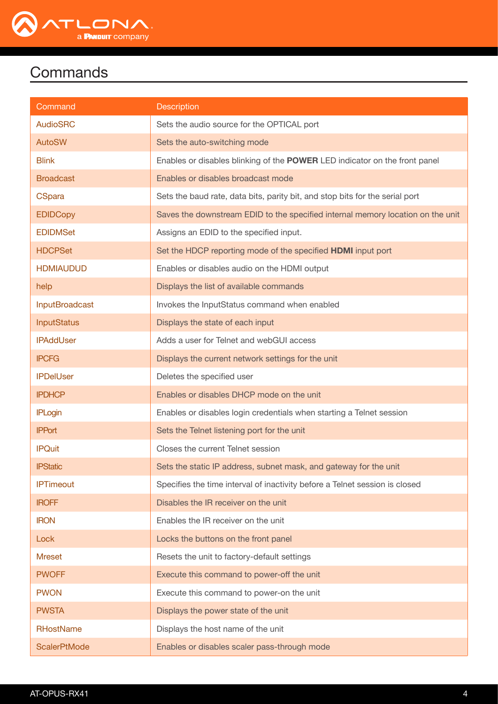

| Command               | <b>Description</b>                                                              |
|-----------------------|---------------------------------------------------------------------------------|
| <b>AudioSRC</b>       | Sets the audio source for the OPTICAL port                                      |
| <b>AutoSW</b>         | Sets the auto-switching mode                                                    |
| <b>Blink</b>          | Enables or disables blinking of the POWER LED indicator on the front panel      |
| <b>Broadcast</b>      | Enables or disables broadcast mode                                              |
| <b>CSpara</b>         | Sets the baud rate, data bits, parity bit, and stop bits for the serial port    |
| <b>EDIDCopy</b>       | Saves the downstream EDID to the specified internal memory location on the unit |
| <b>EDIDMSet</b>       | Assigns an EDID to the specified input.                                         |
| <b>HDCPSet</b>        | Set the HDCP reporting mode of the specified <b>HDMI</b> input port             |
| <b>HDMIAUDUD</b>      | Enables or disables audio on the HDMI output                                    |
| help                  | Displays the list of available commands                                         |
| <b>InputBroadcast</b> | Invokes the InputStatus command when enabled                                    |
| <b>InputStatus</b>    | Displays the state of each input                                                |
| <b>IPAddUser</b>      | Adds a user for Telnet and webGUI access                                        |
| <b>IPCFG</b>          | Displays the current network settings for the unit                              |
| <b>IPDelUser</b>      | Deletes the specified user                                                      |
| <b>IPDHCP</b>         | Enables or disables DHCP mode on the unit                                       |
| <b>IPLogin</b>        | Enables or disables login credentials when starting a Telnet session            |
| <b>IPPort</b>         | Sets the Telnet listening port for the unit                                     |
| <b>IPQuit</b>         | Closes the current Telnet session                                               |
| <b>IPStatic</b>       | Sets the static IP address, subnet mask, and gateway for the unit               |
| <b>IPTimeout</b>      | Specifies the time interval of inactivity before a Telnet session is closed     |
| <b>IROFF</b>          | Disables the IR receiver on the unit                                            |
| <b>IRON</b>           | Enables the IR receiver on the unit                                             |
| Lock                  | Locks the buttons on the front panel                                            |
| <b>Mreset</b>         | Resets the unit to factory-default settings                                     |
| <b>PWOFF</b>          | Execute this command to power-off the unit                                      |
| <b>PWON</b>           | Execute this command to power-on the unit                                       |
| <b>PWSTA</b>          | Displays the power state of the unit                                            |
| <b>RHostName</b>      | Displays the host name of the unit                                              |
| <b>ScalerPtMode</b>   | Enables or disables scaler pass-through mode                                    |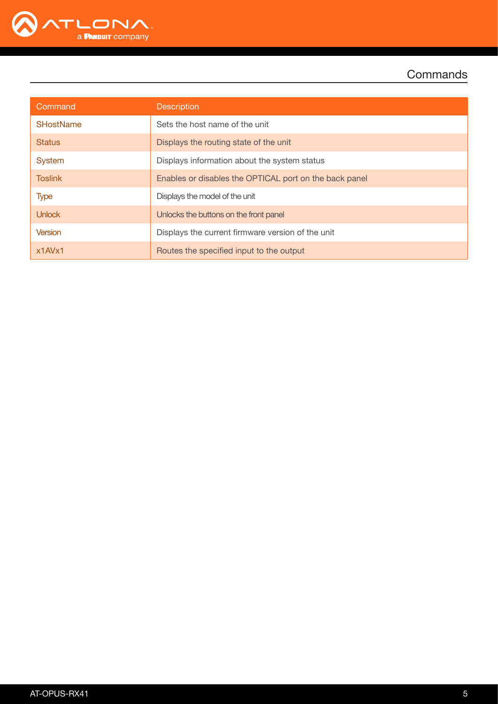

| Command          | <b>Description</b>                                     |  |
|------------------|--------------------------------------------------------|--|
| <b>SHostName</b> | Sets the host name of the unit                         |  |
| <b>Status</b>    | Displays the routing state of the unit                 |  |
| System           | Displays information about the system status           |  |
| <b>Toslink</b>   | Enables or disables the OPTICAL port on the back panel |  |
| <b>Type</b>      | Displays the model of the unit                         |  |
| <b>Unlock</b>    | Unlocks the buttons on the front panel                 |  |
| <b>Version</b>   | Displays the current firmware version of the unit      |  |
| x1AVx1           | Routes the specified input to the output               |  |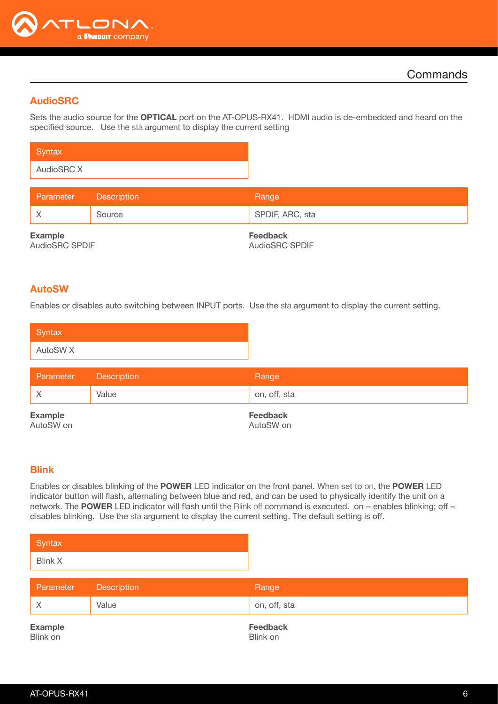

## <span id="page-5-0"></span>AudioSRC

Sets the audio source for the **OPTICAL** port on the AT-OPUS-RX41. HDMI audio is de-embedded and heard on the specified source. Use the sta argument to display the current setting

| Syntax     |  |
|------------|--|
| AudioSRC X |  |

| Parameter                        | <b>Description</b> | Range                                    |
|----------------------------------|--------------------|------------------------------------------|
|                                  | Source             | SPDIF, ARC, sta                          |
| <b>Example</b><br>AudioSRC SPDIF |                    | <b>Feedback</b><br><b>AudioSRC SPDIF</b> |

#### <span id="page-5-1"></span>AutoSW

Enables or disables auto switching between INPUT ports. Use the sta argument to display the current setting.

| Syntax <sup>1</sup> |  |  |
|---------------------|--|--|
| AutoSW <sub>X</sub> |  |  |

| Parameter                   | <b>Description</b> | Range                        |
|-----------------------------|--------------------|------------------------------|
|                             | Value              | on, off, sta                 |
| <b>Example</b><br>AutoSW on |                    | <b>Feedback</b><br>AutoSW on |

#### <span id="page-5-2"></span>Blink

Enables or disables blinking of the POWER LED indicator on the front panel. When set to on, the POWER LED indicator button will flash, alternating between blue and red, and can be used to physically identify the unit on a network. The POWER LED indicator will flash until the Blink off command is executed. on = enables blinking; off = disables blinking. Use the sta argument to display the current setting. The default setting is off.

| Syntax         |  |
|----------------|--|
| <b>Blink X</b> |  |

| Parameter | Description | Range        |
|-----------|-------------|--------------|
|           | Value       | on, off, sta |
|           |             |              |

Example Blink on

Feedback Blink on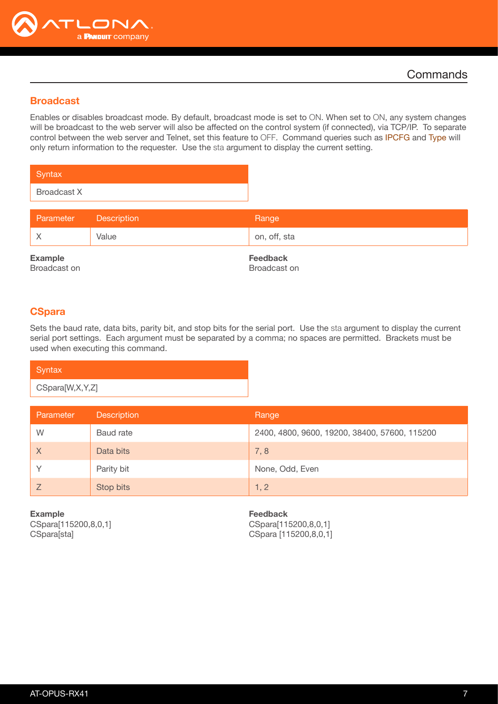

#### <span id="page-6-0"></span>Broadcast

Enables or disables broadcast mode. By default, broadcast mode is set to ON. When set to ON, any system changes will be broadcast to the web server will also be affected on the control system (if connected), via TCP/IP. To separate control between the web server and Telnet, set this feature to OFF. Command queries such as [IPCFG](#page-12-0) and [Type](#page-20-0) will only return information to the requester. Use the sta argument to display the current setting.

| Syntax             |  |
|--------------------|--|
| <b>Broadcast X</b> |  |

| Parameter | <b>Description</b> | Range        |
|-----------|--------------------|--------------|
|           | Value              | on, off, sta |

Example Broadcast on Feedback Broadcast on

#### <span id="page-6-1"></span>**CSpara**

Sets the baud rate, data bits, parity bit, and stop bits for the serial port. Use the sta argument to display the current serial port settings. Each argument must be separated by a comma; no spaces are permitted. Brackets must be used when executing this command.

| Syntax          |  |
|-----------------|--|
| CSpara[W,X,Y,Z] |  |

| Parameter | <b>Description</b> | Range                                         |
|-----------|--------------------|-----------------------------------------------|
| W         | Baud rate          | 2400, 4800, 9600, 19200, 38400, 57600, 115200 |
| $\times$  | Data bits          | 7,8                                           |
|           | Parity bit         | None, Odd, Even                               |
|           | Stop bits          | 1, 2                                          |

Example CSpara[115200,8,0,1] CSpara[sta]

Feedback CSpara[115200,8,0,1] CSpara [115200,8,0,1]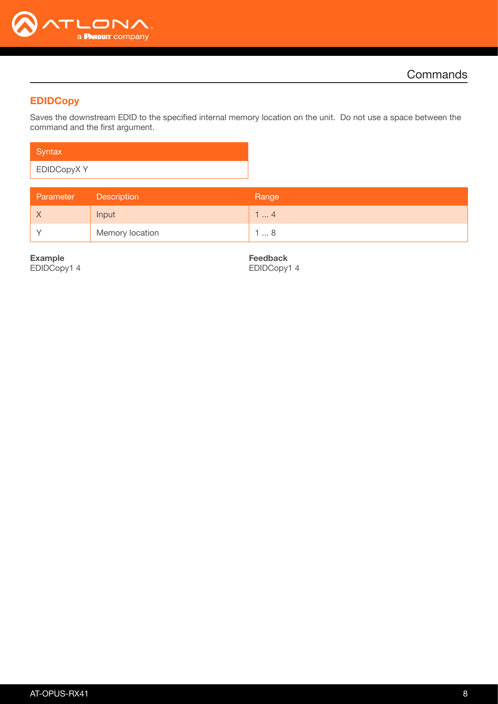

## <span id="page-7-0"></span>**EDIDCopy**

Saves the downstream EDID to the specified internal memory location on the unit. Do not use a space between the command and the first argument.

| Syntax            |  |
|-------------------|--|
| <b>EDIDCopyXY</b> |  |

| Parameter | Description     | Range |
|-----------|-----------------|-------|
|           | Input           | . 4   |
|           | Memory location | l … 8 |

Example EDIDCopy1 4

Feedback EDIDCopy1 4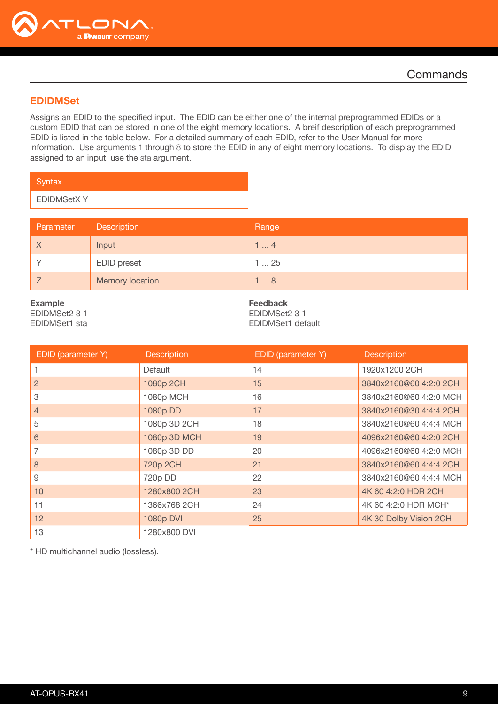

#### <span id="page-8-0"></span>EDIDMSet

Assigns an EDID to the specified input. The EDID can be either one of the internal preprogrammed EDIDs or a custom EDID that can be stored in one of the eight memory locations. A breif description of each preprogrammed EDID is listed in the table below. For a detailed summary of each EDID, refer to the User Manual for more information. Use arguments 1 through 8 to store the EDID in any of eight memory locations. To display the EDID assigned to an input, use the sta argument.

| Syntax            |  |
|-------------------|--|
| <b>EDIDMSetXY</b> |  |

| Parameter | Description            | Range |
|-----------|------------------------|-------|
|           | Input                  | l  4  |
|           | <b>EDID</b> preset     | 125   |
|           | <b>Memory location</b> | l  8  |

#### Example

EDIDMSet2 3 1 EDIDMSet1 sta Feedback EDIDMSet2 3 1 EDIDMSet1 default

| EDID (parameter Y) | <b>Description</b> | EDID (parameter Y) | <b>Description</b>     |
|--------------------|--------------------|--------------------|------------------------|
|                    | Default            | 14                 | 1920x1200 2CH          |
| 2                  | 1080p 2CH          | 15                 | 3840x2160@60 4:2:0 2CH |
| 3                  | 1080p MCH          | 16                 | 3840x2160@60 4:2:0 MCH |
| $\overline{4}$     | 1080p DD           | 17                 | 3840x2160@30 4:4:4 2CH |
| 5                  | 1080p 3D 2CH       | 18                 | 3840x2160@60 4:4:4 MCH |
| 6                  | 1080p 3D MCH       | 19                 | 4096x2160@60 4:2:0 2CH |
|                    | 1080p 3D DD        | 20                 | 4096x2160@60 4:2:0 MCH |
| 8                  | 720p 2CH           | 21                 | 3840x2160@60 4:4:4 2CH |
| 9                  | 720p DD            | 22                 | 3840x2160@60 4:4:4 MCH |
| 10                 | 1280x800 2CH       | 23                 | 4K 60 4:2:0 HDR 2CH    |
| 11                 | 1366x768 2CH       | 24                 | 4K 60 4:2:0 HDR MCH*   |
| 12 <sup>2</sup>    | 1080p DVI          | 25                 | 4K 30 Dolby Vision 2CH |
| 13                 | 1280x800 DVI       |                    |                        |

\* HD multichannel audio (lossless).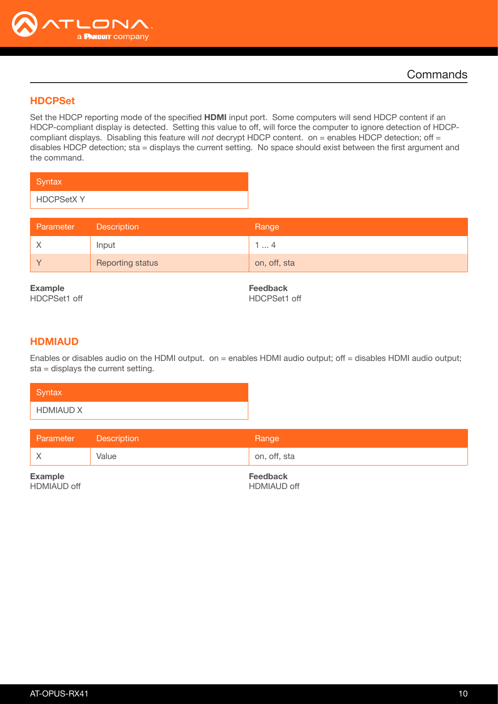

## <span id="page-9-0"></span>**HDCPSet**

Set the HDCP reporting mode of the specified HDMI input port. Some computers will send HDCP content if an HDCP-compliant display is detected. Setting this value to off, will force the computer to ignore detection of HDCPcompliant displays. Disabling this feature will *not* decrypt HDCP content. on = enables HDCP detection; off = disables HDCP detection; sta = displays the current setting. No space should exist between the first argument and the command.

| Syntax           |  |
|------------------|--|
| <b>HDCPSetXY</b> |  |

| Parameter | <b>Description</b>      | Range        |
|-----------|-------------------------|--------------|
|           | Input                   | . 4          |
|           | <b>Reporting status</b> | on, off, sta |

Example HDCPSet1 off

Feedback HDCPSet1 off

#### <span id="page-9-1"></span>HDMIAUD

Enables or disables audio on the HDMI output. on = enables HDMI audio output; off = disables HDMI audio output; sta = displays the current setting.

| Syntax           |  |  |
|------------------|--|--|
| <b>HDMIAUD X</b> |  |  |

| on, off, sta<br>Value | Parameter Description | Range |
|-----------------------|-----------------------|-------|
|                       |                       |       |

Example HDMIAUD off Feedback HDMIAUD off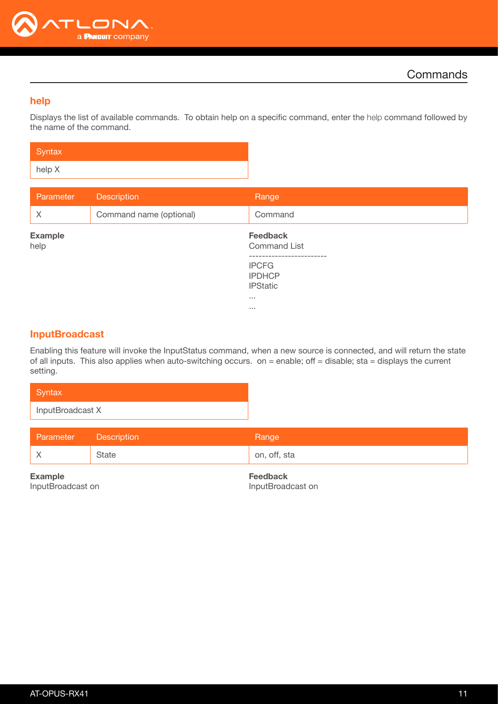

#### <span id="page-10-0"></span>help

Displays the list of available commands. To obtain help on a specific command, enter the help command followed by the name of the command.

| Syntax |  |
|--------|--|
| help X |  |

| Parameter              | <b>Description</b>      | Range                                                                                                     |
|------------------------|-------------------------|-----------------------------------------------------------------------------------------------------------|
| $\times$               | Command name (optional) | Command                                                                                                   |
| <b>Example</b><br>help |                         | <b>Feedback</b><br><b>Command List</b><br>-----------<br><b>IPCFG</b><br><b>IPDHCP</b><br><b>IPStatic</b> |
|                        |                         | $\sim 100$<br>$\sim 100$                                                                                  |

#### <span id="page-10-1"></span>InputBroadcast

Enabling this feature will invoke the InputStatus command, when a new source is connected, and will return the state of all inputs. This also applies when auto-switching occurs. on = enable; off = disable; sta = displays the current setting.

| Syntax           |
|------------------|
| InputBroadcast X |
|                  |

| Parameter | <b>Description</b> | Range        |
|-----------|--------------------|--------------|
|           | State              | on, off, sta |

Example InputBroadcast on Feedback InputBroadcast on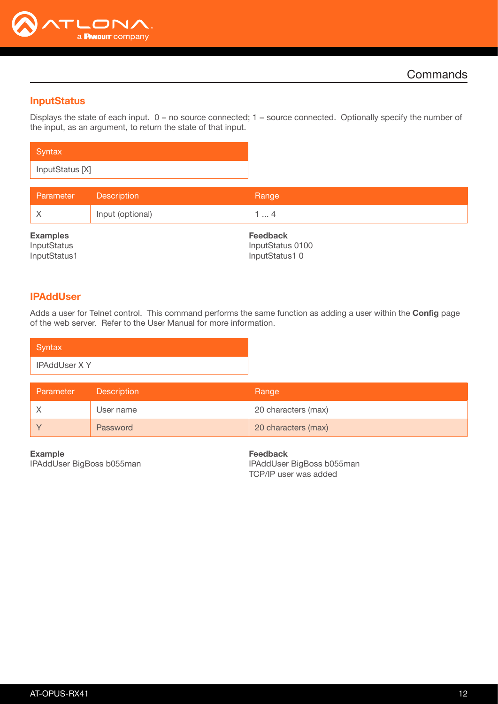

#### <span id="page-11-0"></span>**InputStatus**

Displays the state of each input.  $0 = no$  source connected;  $1 = source$  connected. Optionally specify the number of the input, as an argument, to return the state of that input.

| Syntax          |  |
|-----------------|--|
| InputStatus [X] |  |

| Parameter                      | <b>Description</b> | Range                               |
|--------------------------------|--------------------|-------------------------------------|
|                                | Input (optional)   | 14                                  |
| <b>Examples</b><br>InputStatus |                    | <b>Feedback</b><br>InputStatus 0100 |
| InputStatus1                   |                    | InputStatus10                       |

## <span id="page-11-1"></span>IPAddUser

Adds a user for Telnet control. This command performs the same function as adding a user within the Config page of the web server. Refer to the User Manual for more information.

| Syntax               |  |
|----------------------|--|
| <b>IPAddUser X Y</b> |  |

| Parameter | <b>Description</b> | Range               |
|-----------|--------------------|---------------------|
|           | User name          | 20 characters (max) |
|           | Password           | 20 characters (max) |

Example IPAddUser BigBoss b055man

Feedback IPAddUser BigBoss b055man TCP/IP user was added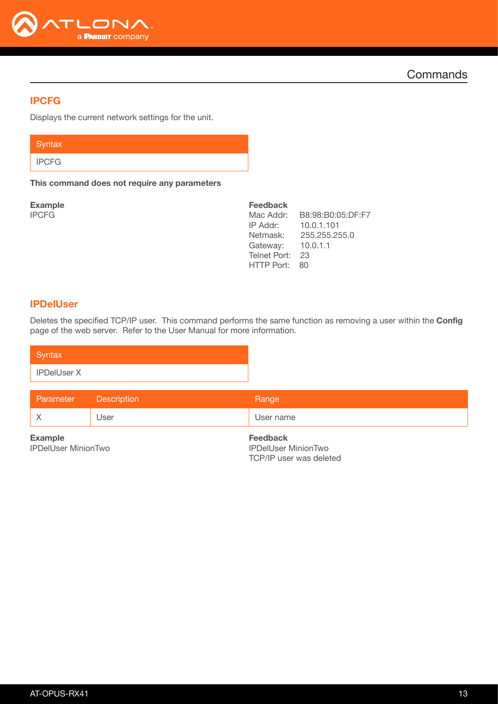

## <span id="page-12-0"></span>IPCFG

Displays the current network settings for the unit.

| Syntax       |  |  |
|--------------|--|--|
| <b>IPCFG</b> |  |  |

This command does not require any parameters

Example IPCFG

| <b>Feedback</b> |                   |
|-----------------|-------------------|
| Mac Addr:       | B8:98:B0:05:DF:F7 |
| IP Addr:        | 10.0.1.101        |
| Netmask:        | 255.255.255.0     |
| Gateway:        | 10.0.1.1          |
| Telnet Port:    | 23                |
| HTTP Port:      | 80                |
|                 |                   |

#### <span id="page-12-1"></span>IPDelUser

Deletes the specified TCP/IP user. This command performs the same function as removing a user within the Config page of the web server. Refer to the User Manual for more information.

| Syntax                                       |                    |                                                                          |
|----------------------------------------------|--------------------|--------------------------------------------------------------------------|
| <b>IPDelUser X</b>                           |                    |                                                                          |
| Parameter                                    | <b>Description</b> | Range                                                                    |
| $\times$                                     | User               | User name                                                                |
| <b>Example</b><br><b>IPDelUser MinionTwo</b> |                    | <b>Feedback</b><br><b>IPDelUser MinionTwo</b><br>TCP/IP user was deleted |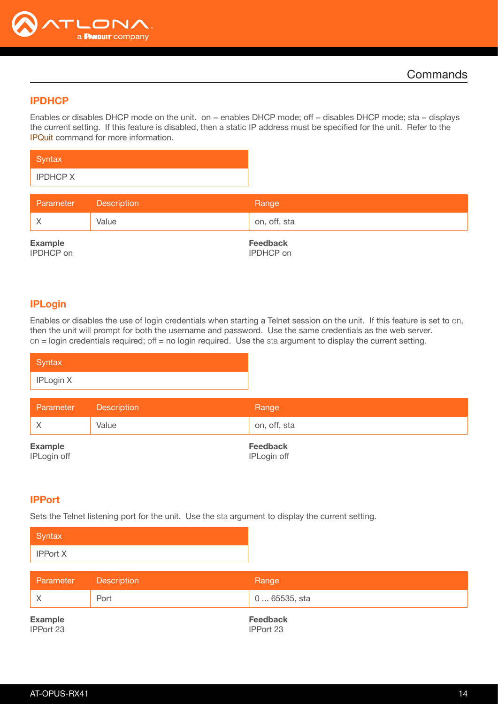

## <span id="page-13-0"></span>**IPDHCP**

Enables or disables DHCP mode on the unit. on = enables DHCP mode; off = disables DHCP mode; sta = displays the current setting. If this feature is disabled, then a static IP address must be specified for the unit. Refer to the [IPQuit](#page-14-0) command for more information.

| Syntax          |  |  |  |
|-----------------|--|--|--|
| <b>IPDHCP X</b> |  |  |  |

| Parameter      | Description | Range           |
|----------------|-------------|-----------------|
|                | Value       | on, off, sta    |
| <b>Example</b> |             | <b>Feedback</b> |

IPDHCP on

Feedback IPDHCP on

## <span id="page-13-1"></span>IPLogin

Enables or disables the use of login credentials when starting a Telnet session on the unit. If this feature is set to on, then the unit will prompt for both the username and password. Use the same credentials as the web server. on = login credentials required; off = no login required. Use the sta argument to display the current setting.

| Syntax    |  |
|-----------|--|
| IPLogin X |  |

| Parameter      | Description | Range        |
|----------------|-------------|--------------|
|                | Value       | on, off, sta |
| <b>Example</b> |             | Feedback     |

IPLogin off

IPLogin off

#### <span id="page-13-2"></span>IPPort

Sets the Telnet listening port for the unit. Use the sta argument to display the current setting.

| Syntax          |  |
|-----------------|--|
| <b>IPPort X</b> |  |

| Parameter                   | Description | Range                        |
|-----------------------------|-------------|------------------------------|
|                             | Port        | 0  65535, sta                |
| <b>Example</b><br>IPPort 23 |             | <b>Feedback</b><br>IPPort 23 |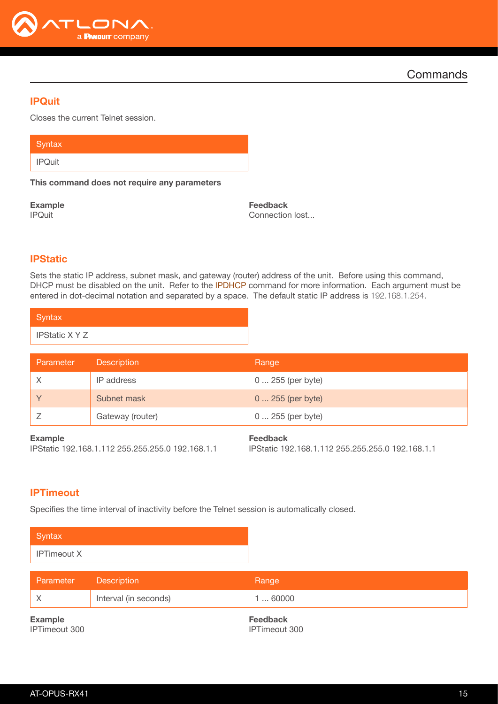

## <span id="page-14-0"></span>IPQuit

Closes the current Telnet session.

| Syntax <sup>1</sup> |  |  |  |
|---------------------|--|--|--|
| <b>IPQuit</b>       |  |  |  |

This command does not require any parameters

Example IPQuit

Feedback Connection lost...

## <span id="page-14-1"></span>**IPStatic**

Sets the static IP address, subnet mask, and gateway (router) address of the unit. Before using this command, DHCP must be disabled on the unit. Refer to the **IPDHCP** command for more information. Each argument must be entered in dot-decimal notation and separated by a space. The default static IP address is 192.168.1.254.

| Syntax                |  |
|-----------------------|--|
| <b>IPStatic X Y Z</b> |  |

| Parameter | <b>Description</b> | Range             |
|-----------|--------------------|-------------------|
|           | IP address         | 0  255 (per byte) |
|           | Subnet mask        | 0  255 (per byte) |
|           | Gateway (router)   | 0  255 (per byte) |

#### Example

IPStatic 192.168.1.112 255.255.255.0 192.168.1.1

## Feedback

IPStatic 192.168.1.112 255.255.255.0 192.168.1.1

## <span id="page-14-2"></span>**IPTimeout**

Specifies the time interval of inactivity before the Telnet session is automatically closed.



| Parameter      | <b>Description</b>    | Range           |
|----------------|-----------------------|-----------------|
|                | Interval (in seconds) | 160000          |
| <b>Example</b> |                       | <b>Feedback</b> |

IPTimeout 300

Feedback IPTimeout 300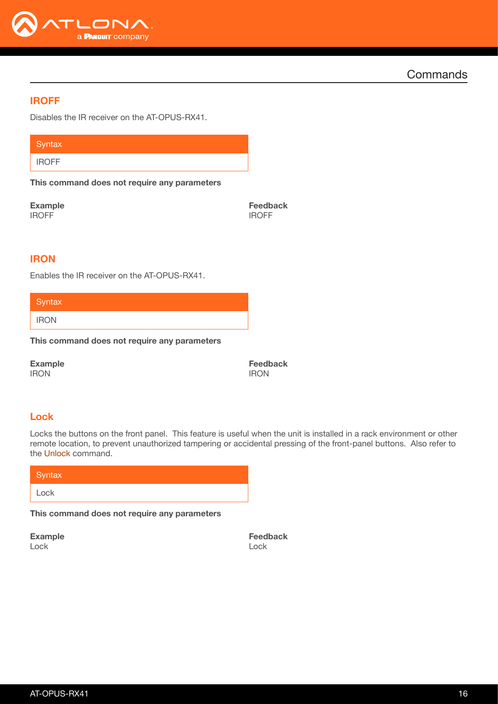

#### <span id="page-15-0"></span>IROFF

Disables the IR receiver on the AT-OPUS-RX41.

**Syntax** IROFF

This command does not require any parameters

Example IROFF

Feedback IROFF

#### <span id="page-15-1"></span>**IRON**

Enables the IR receiver on the AT-OPUS-RX41.

**Syntax** 

IRON

This command does not require any parameters

Example IRON

Feedback IRON

## <span id="page-15-2"></span>Lock

Locks the buttons on the front panel. This feature is useful when the unit is installed in a rack environment or other remote location, to prevent unauthorized tampering or accidental pressing of the front-panel buttons. Also refer to the [Unlock](#page-20-1) command.

| Syntax |  |
|--------|--|
| Lock   |  |

This command does not require any parameters

Example Lock

Feedback Lock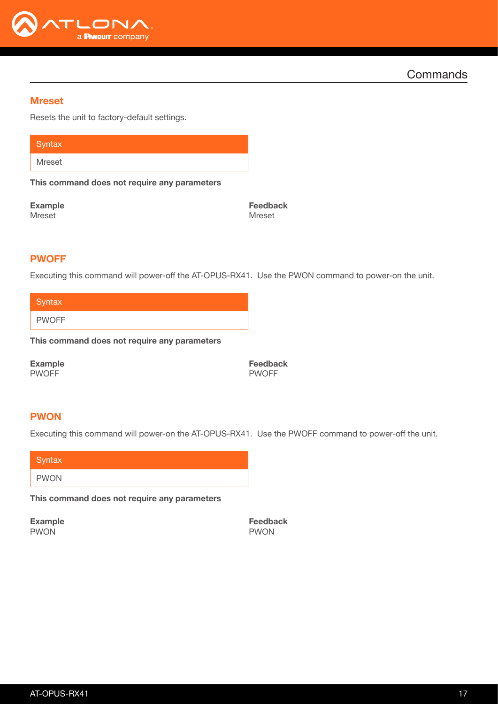

#### <span id="page-16-0"></span>Mreset

Resets the unit to factory-default settings.

**Syntax** Mreset

This command does not require any parameters

Example Mreset

Feedback Mreset

#### <span id="page-16-1"></span>PWOFF

Executing this command will power-off the AT-OPUS-RX41. Use the PWON command to power-on the unit.

**Syntax** 

PWOFF

This command does not require any parameters

Example PWOFF

Feedback PWOFF

#### <span id="page-16-2"></span>PWON

Executing this command will power-on the AT-OPUS-RX41. Use the PWOFF command to power-off the unit.

| Syntax      |  |  |  |
|-------------|--|--|--|
| <b>PWON</b> |  |  |  |

This command does not require any parameters

Example PWON

Feedback PWON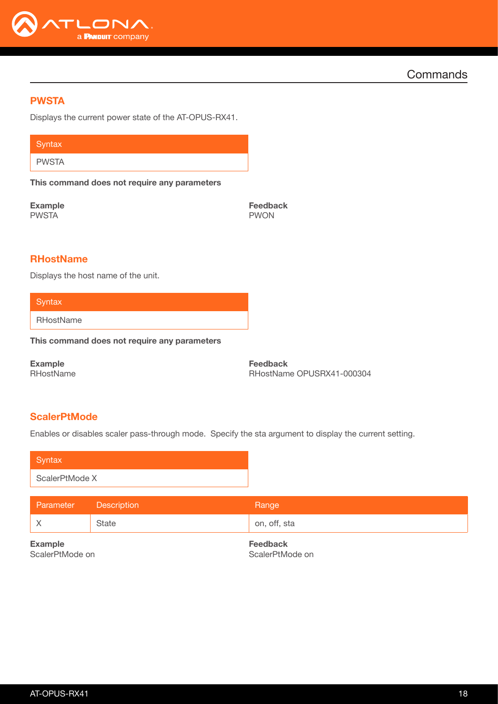

## <span id="page-17-0"></span>PWSTA

Displays the current power state of the AT-OPUS-RX41.

**Syntax** 

PWSTA

This command does not require any parameters

Example PWSTA

Feedback PWON

## <span id="page-17-1"></span>**RHostName**

Displays the host name of the unit.

**Syntax** 

RHostName

This command does not require any parameters

Example **RHostName**  Feedback RHostName OPUSRX41-000304

## <span id="page-17-2"></span>**ScalerPtMode**

Enables or disables scaler pass-through mode. Specify the sta argument to display the current setting.

| Syntax         |  |
|----------------|--|
| ScalerPtMode X |  |

| Parameter      | <b>Description</b> | Range           |
|----------------|--------------------|-----------------|
| ΙX             | State              | on, off, sta    |
| <b>Example</b> |                    | <b>Feedback</b> |

ScalerPtMode on

ScalerPtMode on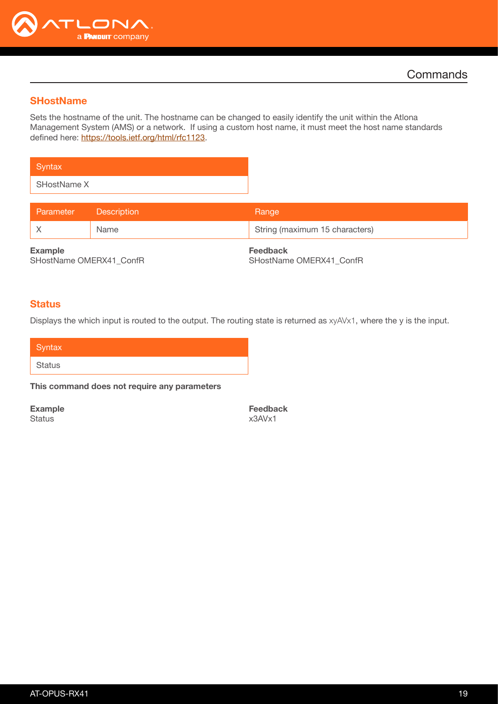

#### <span id="page-18-0"></span>**SHostName**

Sets the hostname of the unit. The hostname can be changed to easily identify the unit within the Atlona Management System (AMS) or a network. If using a custom host name, it must meet the host name standards defined here:<https://tools.ietf.org/html/rfc1123>.

**Syntax** SHostName X

| Parameter | <b>Exercise Description</b> | Range                          |
|-----------|-----------------------------|--------------------------------|
|           | Name                        | String (maximum 15 characters) |
|           |                             |                                |

Example SHostName OMERX41\_ConfR Feedback SHostName OMERX41\_ConfR

#### <span id="page-18-1"></span>**Status**

Displays the which input is routed to the output. The routing state is returned as xyAVx1, where the y is the input.

| Syntax |  |  |
|--------|--|--|
| Status |  |  |

This command does not require any parameters

Example

**Status** 

Feedback x3AVx1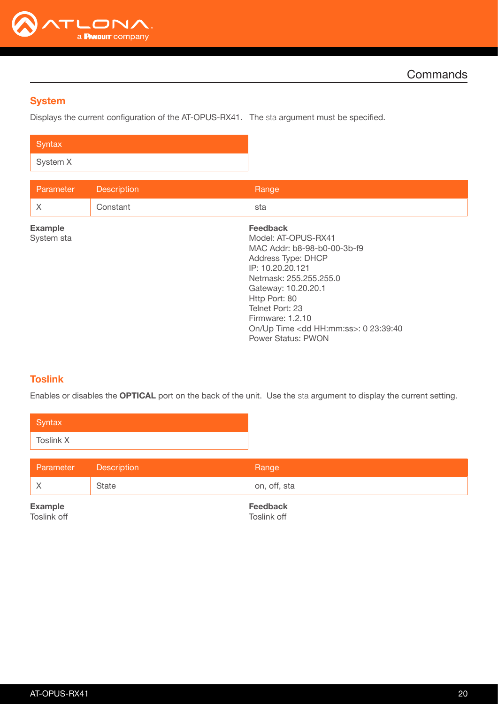

## <span id="page-19-0"></span>**System**

Displays the current configuration of the AT-OPUS-RX41. The sta argument must be specified.

| Syntax   |  |
|----------|--|
| System X |  |

| Parameter                    | <b>Description</b> | Range                                                                                                                                                                                                                                                                                                  |
|------------------------------|--------------------|--------------------------------------------------------------------------------------------------------------------------------------------------------------------------------------------------------------------------------------------------------------------------------------------------------|
| $\times$                     | Constant           | sta                                                                                                                                                                                                                                                                                                    |
| <b>Example</b><br>System sta |                    | <b>Feedback</b><br>Model: AT-OPUS-RX41<br>MAC Addr: b8-98-b0-00-3b-f9<br>Address Type: DHCP<br>IP: 10.20.20.121<br>Netmask: 255.255.255.0<br>Gateway: 10.20.20.1<br>Http Port: 80<br>Telnet Port: 23<br>Firmware: 1.2.10<br>On/Up Time <dd hh:mm:ss="">: 0 23:39:40<br/><b>Power Status: PWON</b></dd> |

## <span id="page-19-1"></span>**Toslink**

Enables or disables the OPTICAL port on the back of the unit. Use the sta argument to display the current setting.

| Syntax    |  |
|-----------|--|
| Toslink X |  |

| Parameter | <b>Description</b> | Range        |
|-----------|--------------------|--------------|
|           | State              | on, off, sta |
|           |                    |              |

Example Toslink off Feedback Toslink off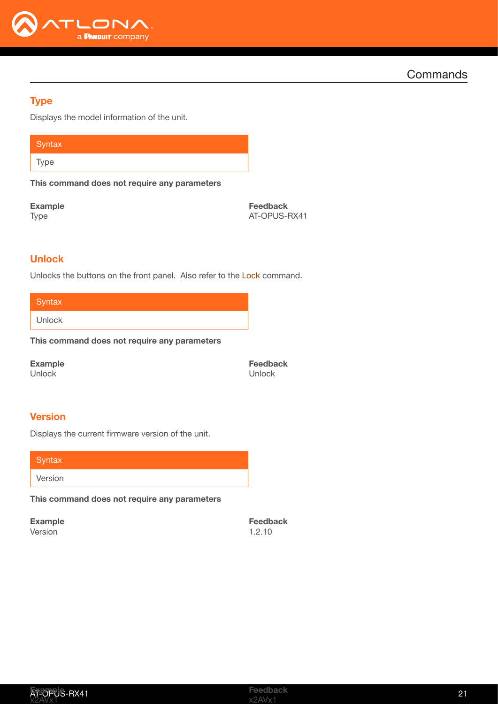

## <span id="page-20-0"></span>**Type**

Displays the model information of the unit.

**Syntax** Type

This command does not require any parameters

Example

Type

Feedback AT-OPUS-RX41

## <span id="page-20-1"></span>**Unlock**

Unlocks the buttons on the front panel. Also refer to the [Lock](#page-15-2) command.

**Syntax** 

Unlock

This command does not require any parameters

Example Unlock

Feedback Unlock

## <span id="page-20-2"></span>**Version**

Displays the current firmware version of the unit.

**Syntax** Version

This command does not require any parameters

Example Version

Feedback 1.2.10

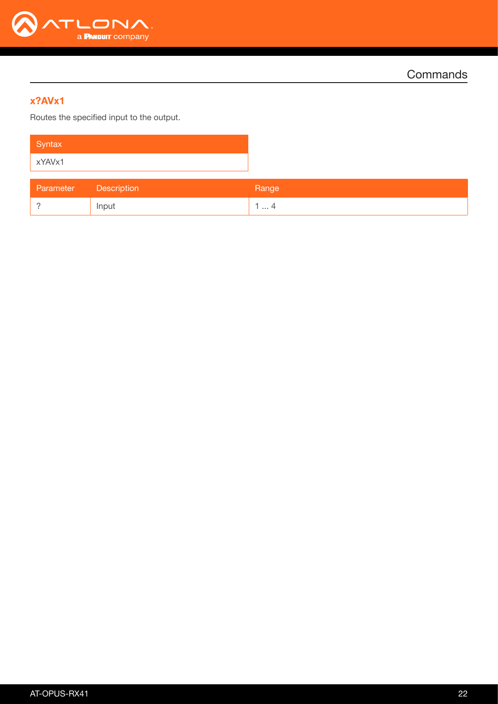

## <span id="page-21-0"></span>x?AVx1

Routes the specified input to the output.

| Syntax |  |
|--------|--|
| xYAVx1 |  |

| Parameter | <b>Description</b> | Range    |
|-----------|--------------------|----------|
|           | Input              | ∸<br>. 4 |